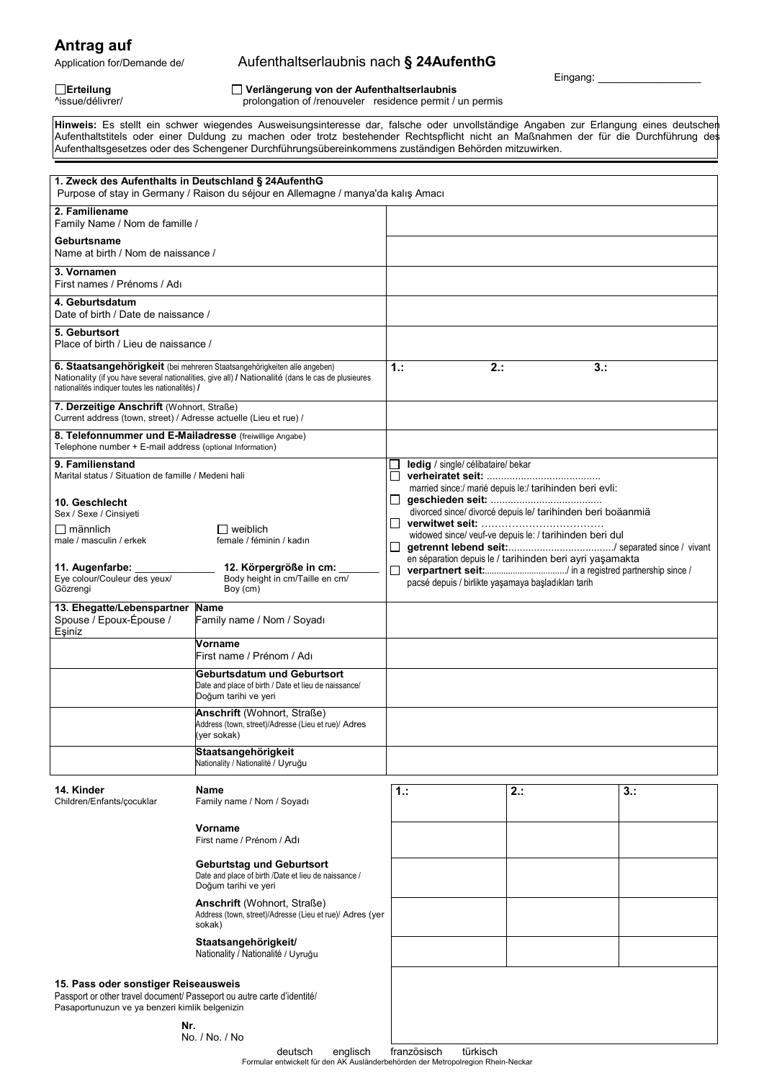**Antrag auf**<br>Application for/Demande de/

## Aufenthaltserlaubnis nach § 24AufenthG

Eingang:

## **Erteilung Verlängerung von der Aufenthaltserlaubnis**

prolongation of /renouveler residence permit / un permis

**Hinweis:** Es stellt ein schwer wiegendes Ausweisungsinteresse dar, falsche oder unvollständige Angaben zur Erlangung eines deutschen Aufenthaltstitels oder einer Duldung zu machen oder trotz bestehender Rechtspflicht nicht an Maßnahmen der für die Durchführung des Aufenthaltsgesetzes oder des Schengener Durchführungsübereinkommens zuständigen Behörden mitzuwirken.

| 1. Zweck des Aufenthalts in Deutschland § 24AufenthG<br>Purpose of stay in Germany / Raison du séjour en Allemagne / manya'da kalış Amacı                                                                                          |                                                                                                                  |                                                                                                                                                                             |                                                     |                                                                                                                     |     |  |
|------------------------------------------------------------------------------------------------------------------------------------------------------------------------------------------------------------------------------------|------------------------------------------------------------------------------------------------------------------|-----------------------------------------------------------------------------------------------------------------------------------------------------------------------------|-----------------------------------------------------|---------------------------------------------------------------------------------------------------------------------|-----|--|
| 2. Familiename<br>Family Name / Nom de famille /                                                                                                                                                                                   |                                                                                                                  |                                                                                                                                                                             |                                                     |                                                                                                                     |     |  |
| Geburtsname<br>Name at birth / Nom de naissance /                                                                                                                                                                                  |                                                                                                                  |                                                                                                                                                                             |                                                     |                                                                                                                     |     |  |
| 3. Vornamen<br>First names / Prénoms / Adı                                                                                                                                                                                         |                                                                                                                  |                                                                                                                                                                             |                                                     |                                                                                                                     |     |  |
| 4. Geburtsdatum<br>Date of birth / Date de naissance /                                                                                                                                                                             |                                                                                                                  |                                                                                                                                                                             |                                                     |                                                                                                                     |     |  |
| 5. Geburtsort<br>Place of birth / Lieu de naissance /                                                                                                                                                                              |                                                                                                                  |                                                                                                                                                                             |                                                     |                                                                                                                     |     |  |
| 6. Staatsangehörigkeit (bei mehreren Staatsangehörigkeiten alle angeben)<br>Nationality (if you have several nationalities, give all) / Nationalité (dans le cas de plusieures<br>nationalités indiquer toutes les nationalités) / |                                                                                                                  | 1:<br>2:<br>3:                                                                                                                                                              |                                                     |                                                                                                                     |     |  |
| 7. Derzeitige Anschrift (Wohnort, Straße)<br>Current address (town, street) / Adresse actuelle (Lieu et rue) /                                                                                                                     |                                                                                                                  |                                                                                                                                                                             |                                                     |                                                                                                                     |     |  |
| 8. Telefonnummer und E-Mailadresse (freiwillige Angabe)<br>Telephone number + E-mail address (optional Information)                                                                                                                |                                                                                                                  |                                                                                                                                                                             |                                                     |                                                                                                                     |     |  |
| 9. Familienstand<br>Marital status / Situation de famille / Medeni hali<br>10. Geschlecht                                                                                                                                          |                                                                                                                  | ledig / single/ célibataire/ bekar<br>$\Box$<br>married since:/ marié depuis le:/ tarihinden beri evli:<br>ப<br>divorced since/ divorcé depuis le/ tarihinden beri boäanmiä |                                                     |                                                                                                                     |     |  |
| Sex / Sexe / Cinsiyeti<br>∏ männlich<br>male / masculin / erkek                                                                                                                                                                    | $\Box$ weiblich<br>female / féminin / kadın                                                                      | Ш<br>$\Box$                                                                                                                                                                 |                                                     | widowed since/ veuf-ve depuis le: / tarihinden beri dul<br>en séparation depuis le / tarihinden beri ayri yaşamakta |     |  |
| 11. Augenfarbe:<br>Eye colour/Couleur des yeux/<br>Gözrengi                                                                                                                                                                        | 12. Körpergröße in cm:<br>Body height in cm/Taille en cm/<br>Boy (cm)                                            | □                                                                                                                                                                           | pacsé depuis / birlikte yaşamaya başladıkları tarih |                                                                                                                     |     |  |
| 13. Ehegatte/Lebenspartner<br>Spouse / Epoux-Épouse /<br>Esiniz                                                                                                                                                                    | <b>Name</b><br>Family name / Nom / Soyadı                                                                        |                                                                                                                                                                             |                                                     |                                                                                                                     |     |  |
|                                                                                                                                                                                                                                    | Vorname<br>First name / Prénom / Adı                                                                             |                                                                                                                                                                             |                                                     |                                                                                                                     |     |  |
|                                                                                                                                                                                                                                    | Geburtsdatum und Geburtsort<br>Date and place of birth / Date et lieu de naissance/<br>Doğum tarihi ve yeri      |                                                                                                                                                                             |                                                     |                                                                                                                     |     |  |
|                                                                                                                                                                                                                                    | <b>Anschrift</b> (Wohnort, Straße)<br>Address (town, street)/Adresse (Lieu et rue)/ Adres<br>(yer sokak)         |                                                                                                                                                                             |                                                     |                                                                                                                     |     |  |
|                                                                                                                                                                                                                                    | Staatsangehörigkeit<br>Nationality / Nationalité / Uyruğu                                                        |                                                                                                                                                                             |                                                     |                                                                                                                     |     |  |
| 14. Kinder<br>Children/Enfants/cocuklar                                                                                                                                                                                            | <b>Name</b><br>Family name / Nom / Soyadı                                                                        | 1.:                                                                                                                                                                         |                                                     | $2$ .:                                                                                                              | 3.: |  |
|                                                                                                                                                                                                                                    | Vorname<br>First name / Prénom / Adı                                                                             |                                                                                                                                                                             |                                                     |                                                                                                                     |     |  |
|                                                                                                                                                                                                                                    | <b>Geburtstag und Geburtsort</b><br>Date and place of birth /Date et lieu de naissance /<br>Doğum tarihi ve yeri |                                                                                                                                                                             |                                                     |                                                                                                                     |     |  |
|                                                                                                                                                                                                                                    | <b>Anschrift</b> (Wohnort, Straße)<br>Address (town, street)/Adresse (Lieu et rue)/ Adres (yer<br>sokak)         |                                                                                                                                                                             |                                                     |                                                                                                                     |     |  |
|                                                                                                                                                                                                                                    | Staatsangehörigkeit/<br>Nationality / Nationalité / Uyruğu                                                       |                                                                                                                                                                             |                                                     |                                                                                                                     |     |  |
| 15. Pass oder sonstiger Reiseausweis<br>Passport or other travel document/ Passeport ou autre carte d'identité/<br>Pasaportunuzun ve ya benzeri kimlik belgenizin<br>Nr.                                                           |                                                                                                                  |                                                                                                                                                                             |                                                     |                                                                                                                     |     |  |
| No. / No. / No                                                                                                                                                                                                                     |                                                                                                                  |                                                                                                                                                                             |                                                     |                                                                                                                     |     |  |

deutsch englisch französisch türkisch Formular entwickelt für den AK Ausländerbehörden der Metropolregion Rhein-Neckar